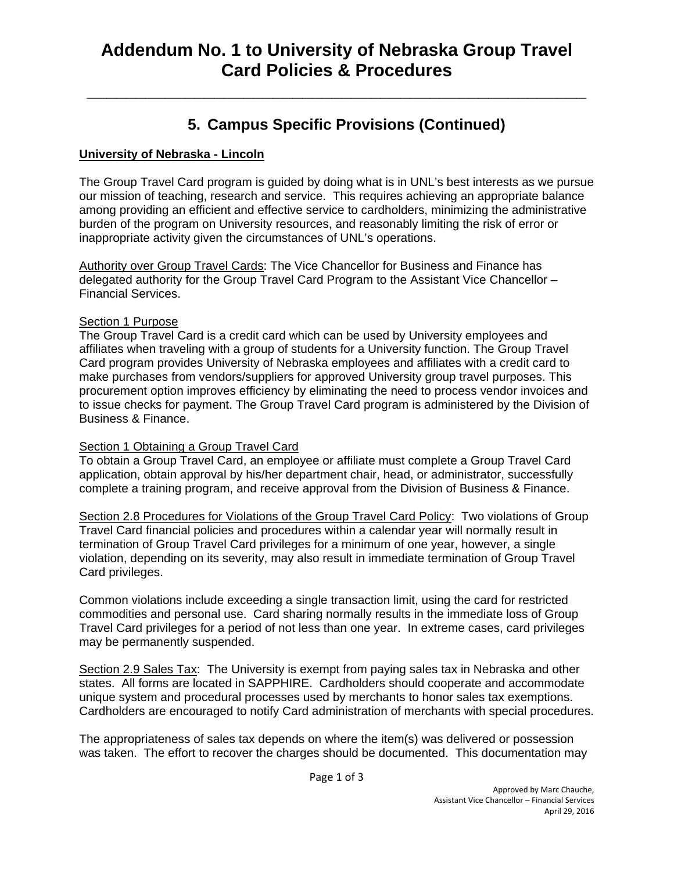# **Addendum No. 1 to University of Nebraska Group Travel Card Policies & Procedures**

**\_\_\_\_\_\_\_\_\_\_\_\_\_\_\_\_\_\_\_\_\_\_\_\_\_\_\_\_\_\_\_\_\_\_\_\_\_\_\_\_\_\_\_\_\_\_\_\_\_\_\_** 

## **5. Campus Specific Provisions (Continued)**

#### **University of Nebraska - Lincoln**

The Group Travel Card program is guided by doing what is in UNL's best interests as we pursue our mission of teaching, research and service. This requires achieving an appropriate balance among providing an efficient and effective service to cardholders, minimizing the administrative burden of the program on University resources, and reasonably limiting the risk of error or inappropriate activity given the circumstances of UNL's operations.

Authority over Group Travel Cards: The Vice Chancellor for Business and Finance has delegated authority for the Group Travel Card Program to the Assistant Vice Chancellor – Financial Services.

#### **Section 1 Purpose**

The Group Travel Card is a credit card which can be used by University employees and affiliates when traveling with a group of students for a University function. The Group Travel Card program provides University of Nebraska employees and affiliates with a credit card to make purchases from vendors/suppliers for approved University group travel purposes. This procurement option improves efficiency by eliminating the need to process vendor invoices and to issue checks for payment. The Group Travel Card program is administered by the Division of Business & Finance.

### Section 1 Obtaining a Group Travel Card

To obtain a Group Travel Card, an employee or affiliate must complete a Group Travel Card application, obtain approval by his/her department chair, head, or administrator, successfully complete a training program, and receive approval from the Division of Business & Finance.

Section 2.8 Procedures for Violations of the Group Travel Card Policy: Two violations of Group Travel Card financial policies and procedures within a calendar year will normally result in termination of Group Travel Card privileges for a minimum of one year, however, a single violation, depending on its severity, may also result in immediate termination of Group Travel Card privileges.

Common violations include exceeding a single transaction limit, using the card for restricted commodities and personal use. Card sharing normally results in the immediate loss of Group Travel Card privileges for a period of not less than one year. In extreme cases, card privileges may be permanently suspended.

Section 2.9 Sales Tax: The University is exempt from paying sales tax in Nebraska and other states. All forms are located in SAPPHIRE. Cardholders should cooperate and accommodate unique system and procedural processes used by merchants to honor sales tax exemptions. Cardholders are encouraged to notify Card administration of merchants with special procedures.

The appropriateness of sales tax depends on where the item(s) was delivered or possession was taken. The effort to recover the charges should be documented. This documentation may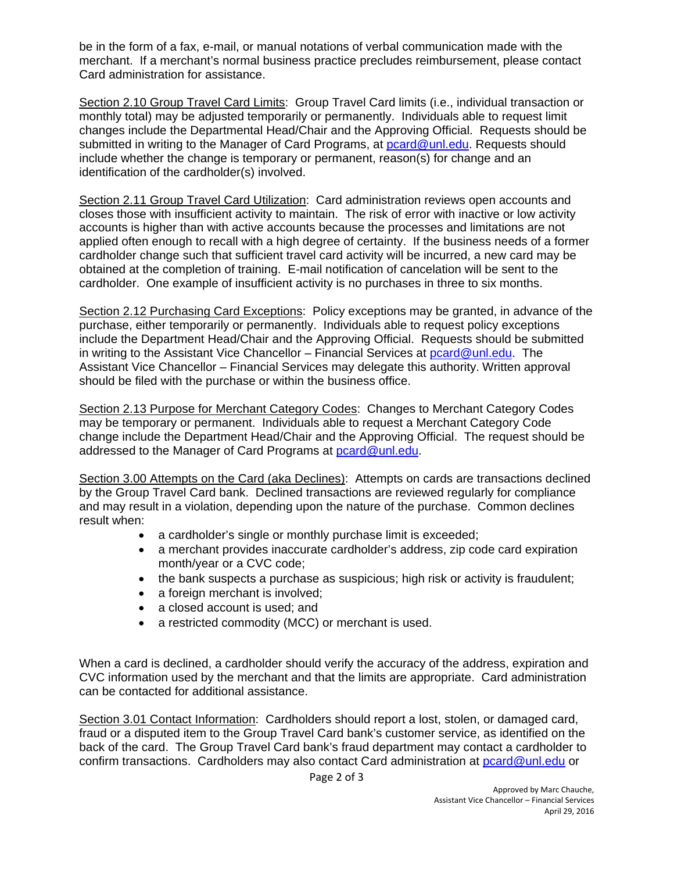be in the form of a fax, e-mail, or manual notations of verbal communication made with the merchant. If a merchant's normal business practice precludes reimbursement, please contact Card administration for assistance.

Section 2.10 Group Travel Card Limits: Group Travel Card limits (i.e., individual transaction or monthly total) may be adjusted temporarily or permanently. Individuals able to request limit changes include the Departmental Head/Chair and the Approving Official. Requests should be submitted in writing to the Manager of Card Programs, at pcard@unl.edu. Requests should include whether the change is temporary or permanent, reason(s) for change and an identification of the cardholder(s) involved.

Section 2.11 Group Travel Card Utilization: Card administration reviews open accounts and closes those with insufficient activity to maintain. The risk of error with inactive or low activity accounts is higher than with active accounts because the processes and limitations are not applied often enough to recall with a high degree of certainty. If the business needs of a former cardholder change such that sufficient travel card activity will be incurred, a new card may be obtained at the completion of training. E-mail notification of cancelation will be sent to the cardholder. One example of insufficient activity is no purchases in three to six months.

Section 2.12 Purchasing Card Exceptions: Policy exceptions may be granted, in advance of the purchase, either temporarily or permanently. Individuals able to request policy exceptions include the Department Head/Chair and the Approving Official. Requests should be submitted in writing to the Assistant Vice Chancellor – Financial Services at pcard@unl.edu. The Assistant Vice Chancellor – Financial Services may delegate this authority. Written approval should be filed with the purchase or within the business office.

Section 2.13 Purpose for Merchant Category Codes: Changes to Merchant Category Codes may be temporary or permanent. Individuals able to request a Merchant Category Code change include the Department Head/Chair and the Approving Official. The request should be addressed to the Manager of Card Programs at pcard@unl.edu.

Section 3.00 Attempts on the Card (aka Declines): Attempts on cards are transactions declined by the Group Travel Card bank. Declined transactions are reviewed regularly for compliance and may result in a violation, depending upon the nature of the purchase. Common declines result when:

- a cardholder's single or monthly purchase limit is exceeded;
- a merchant provides inaccurate cardholder's address, zip code card expiration month/year or a CVC code;
- the bank suspects a purchase as suspicious; high risk or activity is fraudulent;
- a foreign merchant is involved;
- a closed account is used: and
- a restricted commodity (MCC) or merchant is used.

When a card is declined, a cardholder should verify the accuracy of the address, expiration and CVC information used by the merchant and that the limits are appropriate. Card administration can be contacted for additional assistance.

Section 3.01 Contact Information: Cardholders should report a lost, stolen, or damaged card, fraud or a disputed item to the Group Travel Card bank's customer service, as identified on the back of the card. The Group Travel Card bank's fraud department may contact a cardholder to confirm transactions. Cardholders may also contact Card administration at pcard@unl.edu or